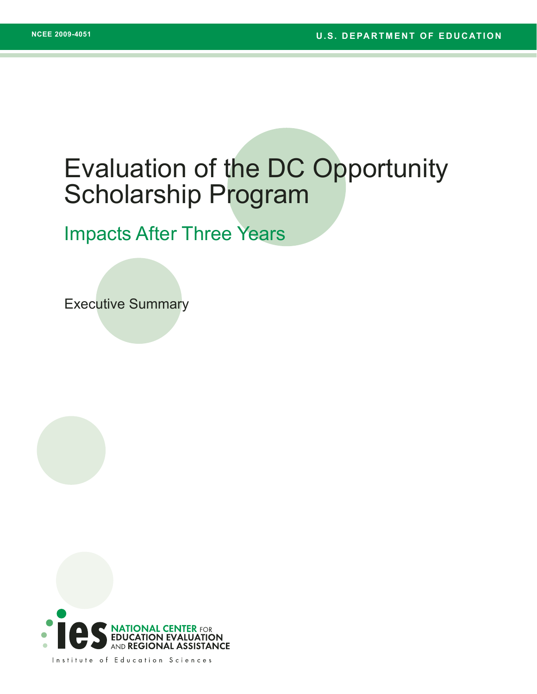## Evaluation of the DC Opportunity Scholarship Program

## Impacts After Three Years

Executive Summary

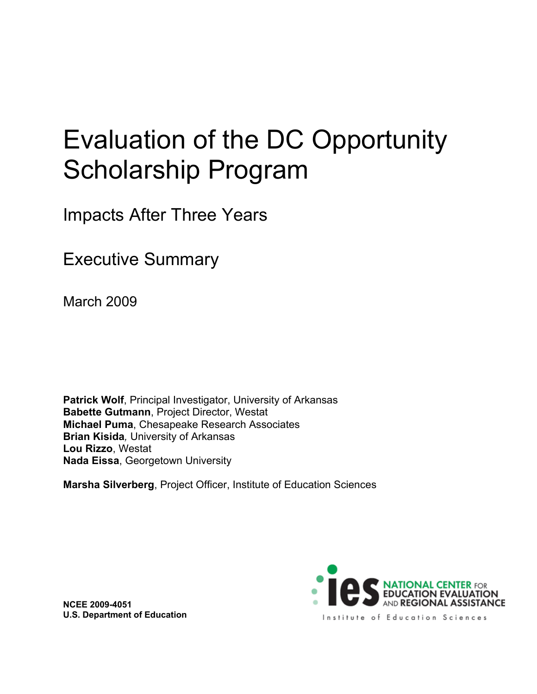# Evaluation of the DC Opportunity Scholarship Program

Impacts After Three Years

Executive Summary

March 2009

**Patrick Wolf**, Principal Investigator, University of Arkansas **Babette Gutmann**, Project Director, Westat **Michael Puma**, Chesapeake Research Associates **Brian Kisida***,* University of Arkansas **Lou Rizzo**, Westat **Nada Eissa**, Georgetown University

**Marsha Silverberg**, Project Officer, Institute of Education Sciences

**NCEE 2009-4051 U.S. Department of Education**

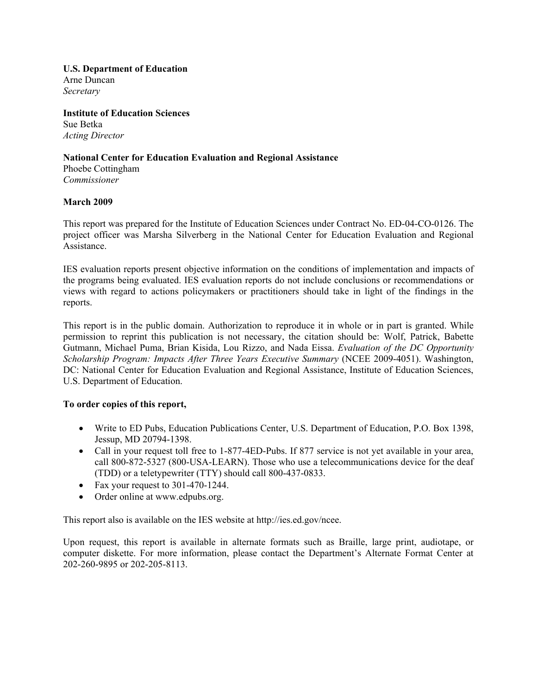#### **U.S. Department of Education** Arne Duncan *Secretary*

**Institute of Education Sciences** Sue Betka *Acting Director*

**National Center for Education Evaluation and Regional Assistance** Phoebe Cottingham *Commissioner*

#### **March 2009**

This report was prepared for the Institute of Education Sciences under Contract No. ED-04-CO-0126. The project officer was Marsha Silverberg in the National Center for Education Evaluation and Regional Assistance.

IES evaluation reports present objective information on the conditions of implementation and impacts of the programs being evaluated. IES evaluation reports do not include conclusions or recommendations or views with regard to actions policymakers or practitioners should take in light of the findings in the reports.

This report is in the public domain. Authorization to reproduce it in whole or in part is granted. While permission to reprint this publication is not necessary, the citation should be: Wolf, Patrick, Babette Gutmann, Michael Puma, Brian Kisida, Lou Rizzo, and Nada Eissa. *Evaluation of the DC Opportunity Scholarship Program: Impacts After Three Years Executive Summary* (NCEE 2009-4051). Washington, DC: National Center for Education Evaluation and Regional Assistance, Institute of Education Sciences, U.S. Department of Education.

#### **To order copies of this report,**

- Write to ED Pubs, Education Publications Center, U.S. Department of Education, P.O. Box 1398, Jessup, MD 20794-1398.
- Call in your request toll free to 1-877-4ED-Pubs. If 877 service is not yet available in your area, call 800-872-5327 (800-USA-LEARN). Those who use a telecommunications device for the deaf (TDD) or a teletypewriter (TTY) should call 800-437-0833.
- Fax your request to 301-470-1244.
- Order online at www.edpubs.org.

This report also is available on the IES website at http://ies.ed.gov/ncee.

Upon request, this report is available in alternate formats such as Braille, large print, audiotape, or computer diskette. For more information, please contact the Department's Alternate Format Center at 202-260-9895 or 202-205-8113.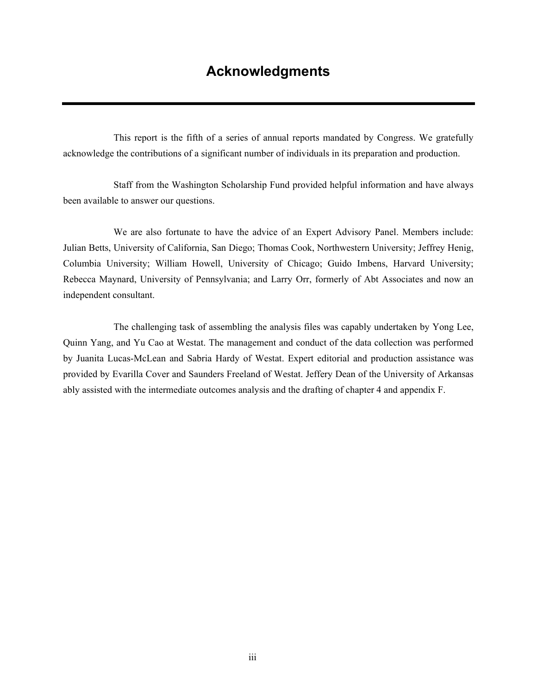This report is the fifth of a series of annual reports mandated by Congress. We gratefully acknowledge the contributions of a significant number of individuals in its preparation and production.

Staff from the Washington Scholarship Fund provided helpful information and have always been available to answer our questions.

We are also fortunate to have the advice of an Expert Advisory Panel. Members include: Julian Betts, University of California, San Diego; Thomas Cook, Northwestern University; Jeffrey Henig, Columbia University; William Howell, University of Chicago; Guido Imbens, Harvard University; Rebecca Maynard, University of Pennsylvania; and Larry Orr, formerly of Abt Associates and now an independent consultant.

The challenging task of assembling the analysis files was capably undertaken by Yong Lee, Quinn Yang, and Yu Cao at Westat. The management and conduct of the data collection was performed by Juanita Lucas-McLean and Sabria Hardy of Westat. Expert editorial and production assistance was provided by Evarilla Cover and Saunders Freeland of Westat. Jeffery Dean of the University of Arkansas ably assisted with the intermediate outcomes analysis and the drafting of chapter 4 and appendix F.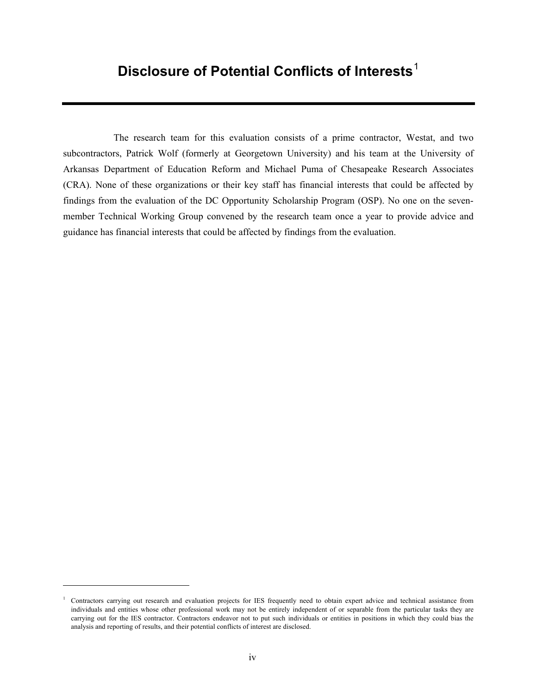## **Disclosure of Potential Conflicts of Interests**[1](#page-4-0)

The research team for this evaluation consists of a prime contractor, Westat, and two subcontractors, Patrick Wolf (formerly at Georgetown University) and his team at the University of Arkansas Department of Education Reform and Michael Puma of Chesapeake Research Associates (CRA). None of these organizations or their key staff has financial interests that could be affected by findings from the evaluation of the DC Opportunity Scholarship Program (OSP). No one on the sevenmember Technical Working Group convened by the research team once a year to provide advice and guidance has financial interests that could be affected by findings from the evaluation.

<span id="page-4-0"></span><sup>&</sup>lt;sup>1</sup> Contractors carrying out research and evaluation projects for IES frequently need to obtain expert advice and technical assistance from individuals and entities whose other professional work may not be entirely independent of or separable from the particular tasks they are carrying out for the IES contractor. Contractors endeavor not to put such individuals or entities in positions in which they could bias the analysis and reporting of results, and their potential conflicts of interest are disclosed.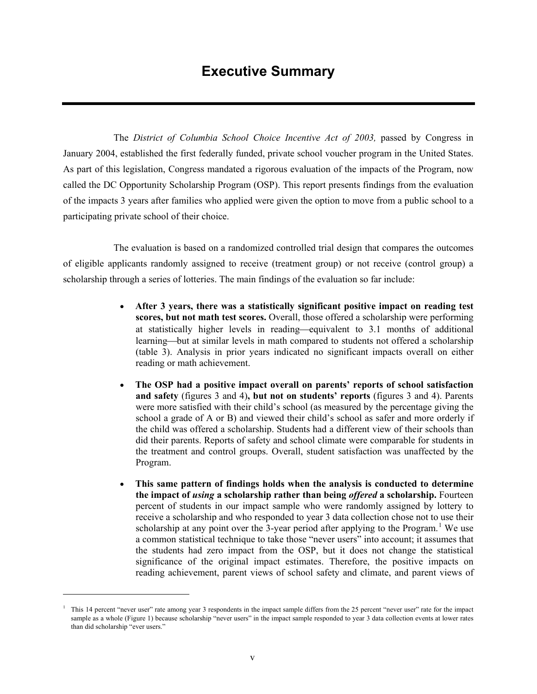## **Executive Summary**

The *District of Columbia School Choice Incentive Act of 2003,* passed by Congress in January 2004, established the first federally funded, private school voucher program in the United States. As part of this legislation, Congress mandated a rigorous evaluation of the impacts of the Program, now called the DC Opportunity Scholarship Program (OSP). This report presents findings from the evaluation of the impacts 3 years after families who applied were given the option to move from a public school to a participating private school of their choice.

The evaluation is based on a randomized controlled trial design that compares the outcomes of eligible applicants randomly assigned to receive (treatment group) or not receive (control group) a scholarship through a series of lotteries. The main findings of the evaluation so far include:

- **After 3 years, there was a statistically significant positive impact on reading test scores, but not math test scores.** Overall, those offered a scholarship were performing at statistically higher levels in reading—equivalent to 3.1 months of additional learning—but at similar levels in math compared to students not offered a scholarship (table 3). Analysis in prior years indicated no significant impacts overall on either reading or math achievement.
- **The OSP had a positive impact overall on parents' reports of school satisfaction and safety** (figures 3 and 4)**, but not on students' reports** (figures 3 and 4). Parents were more satisfied with their child's school (as measured by the percentage giving the school a grade of A or B) and viewed their child's school as safer and more orderly if the child was offered a scholarship. Students had a different view of their schools than did their parents. Reports of safety and school climate were comparable for students in the treatment and control groups. Overall, student satisfaction was unaffected by the Program.
- **This same pattern of findings holds when the analysis is conducted to determine the impact of** *using* **a scholarship rather than being** *offered* **a scholarship.** Fourteen percent of students in our impact sample who were randomly assigned by lottery to receive a scholarship and who responded to year 3 data collection chose not to use their scholarship at any point over the 3-year period after applying to the Program.<sup>[1](#page-5-0)</sup> We use a common statistical technique to take those "never users" into account; it assumes that the students had zero impact from the OSP, but it does not change the statistical significance of the original impact estimates. Therefore, the positive impacts on reading achievement, parent views of school safety and climate, and parent views of

<span id="page-5-0"></span>This 14 percent "never user" rate among year 3 respondents in the impact sample differs from the 25 percent "never user" rate for the impact sample as a whole (Figure 1) because scholarship "never users" in the impact sample responded to year 3 data collection events at lower rates than did scholarship "ever users."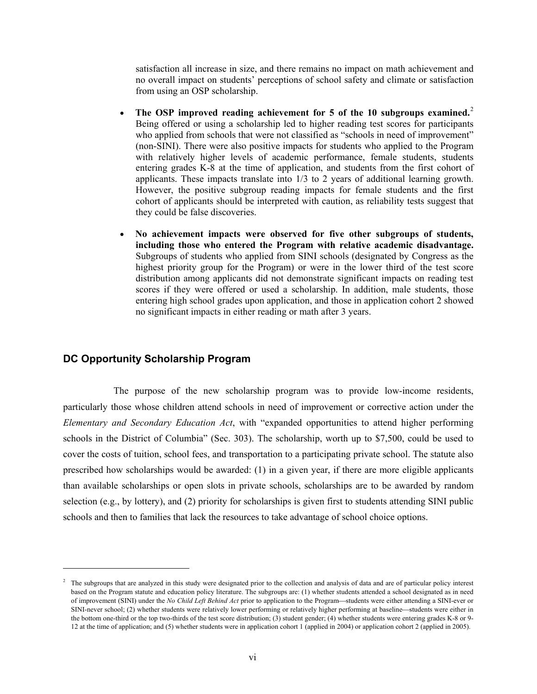satisfaction all increase in size, and there remains no impact on math achievement and no overall impact on students' perceptions of school safety and climate or satisfaction from using an OSP scholarship.

- **The OSP improved reading achievement for 5 of the 10 subgroups examined.** [2](#page-6-0) Being offered or using a scholarship led to higher reading test scores for participants who applied from schools that were not classified as "schools in need of improvement" (non-SINI). There were also positive impacts for students who applied to the Program with relatively higher levels of academic performance, female students, students entering grades K-8 at the time of application, and students from the first cohort of applicants. These impacts translate into 1/3 to 2 years of additional learning growth. However, the positive subgroup reading impacts for female students and the first cohort of applicants should be interpreted with caution, as reliability tests suggest that they could be false discoveries.
- **No achievement impacts were observed for five other subgroups of students, including those who entered the Program with relative academic disadvantage.**  Subgroups of students who applied from SINI schools (designated by Congress as the highest priority group for the Program) or were in the lower third of the test score distribution among applicants did not demonstrate significant impacts on reading test scores if they were offered or used a scholarship. In addition, male students, those entering high school grades upon application, and those in application cohort 2 showed no significant impacts in either reading or math after 3 years.

#### **DC Opportunity Scholarship Program**

 $\overline{a}$ 

The purpose of the new scholarship program was to provide low-income residents, particularly those whose children attend schools in need of improvement or corrective action under the *Elementary and Secondary Education Act*, with "expanded opportunities to attend higher performing schools in the District of Columbia" (Sec. 303). The scholarship, worth up to \$7,500, could be used to cover the costs of tuition, school fees, and transportation to a participating private school. The statute also prescribed how scholarships would be awarded: (1) in a given year, if there are more eligible applicants than available scholarships or open slots in private schools, scholarships are to be awarded by random selection (e.g., by lottery), and (2) priority for scholarships is given first to students attending SINI public schools and then to families that lack the resources to take advantage of school choice options.

<span id="page-6-0"></span><sup>&</sup>lt;sup>2</sup> The subgroups that are analyzed in this study were designated prior to the collection and analysis of data and are of particular policy interest based on the Program statute and education policy literature. The subgroups are: (1) whether students attended a school designated as in need of improvement (SINI) under the *No Child Left Behind Act* prior to application to the Program—students were either attending a SINI-ever or SINI-never school; (2) whether students were relatively lower performing or relatively higher performing at baseline—students were either in the bottom one-third or the top two-thirds of the test score distribution; (3) student gender; (4) whether students were entering grades K-8 or 9- 12 at the time of application; and (5) whether students were in application cohort 1 (applied in 2004) or application cohort 2 (applied in 2005).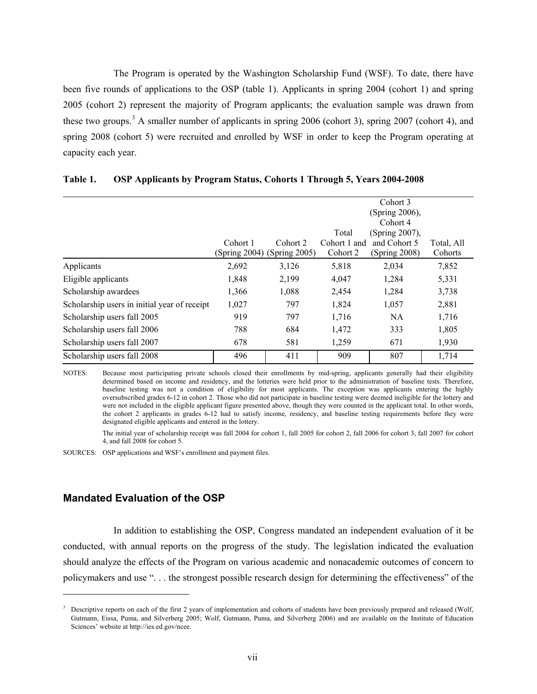The Program is operated by the Washington Scholarship Fund (WSF). To date, there have been five rounds of applications to the OSP (table 1). Applicants in spring 2004 (cohort 1) and spring 2005 (cohort 2) represent the majority of Program applicants; the evaluation sample was drawn from these two groups.<sup>[3](#page-7-0)</sup> A smaller number of applicants in spring 2006 (cohort 3), spring 2007 (cohort 4), and spring 2008 (cohort 5) were recruited and enrolled by WSF in order to keep the Program operating at capacity each year.

|               |                                              |               | Cohort 3       |               |
|---------------|----------------------------------------------|---------------|----------------|---------------|
|               |                                              |               | (Spring 2006), |               |
|               |                                              |               | Cohort 4       |               |
|               |                                              | Total         | (Spring 2007), |               |
| Cohort 1      | Cohort 2                                     | Cohort 1 and  | and Cohort 5   | Total, All    |
| (Spring 2004) |                                              | Cohort 2      |                | Cohorts       |
| 2,692         | 3,126                                        | 5,818         | 2,034          | 7,852         |
| 1,848         | 2,199                                        | 4,047         | 1,284          | 5,331         |
| 1,366         | 1,088                                        | 2,454         | 1,284          | 3,738         |
| 1,027         | 797                                          | 1,824         | 1,057          | 2,881         |
| 919           | 797                                          | 1,716         | <b>NA</b>      | 1,716         |
| 788           | 684                                          | 1,472         | 333            | 1,805         |
| 678           | 581                                          | 1,259         | 671            | 1,930         |
| 496           | 411                                          | 909           | 807            | 1,714         |
|               | Scholarship users in initial year of receipt | (Spring 2005) |                | (Spring 2008) |

#### **Table 1. OSP Applicants by Program Status, Cohorts 1 Through 5, Years 2004-2008**

NOTES: Because most participating private schools closed their enrollments by mid-spring, applicants generally had their eligibility determined based on income and residency, and the lotteries were held prior to the administration of baseline tests. Therefore, baseline testing was not a condition of eligibility for most applicants. The exception was applicants entering the highly oversubscribed grades 6-12 in cohort 2. Those who did not participate in baseline testing were deemed ineligible for the lottery and were not included in the eligible applicant figure presented above, though they were counted in the applicant total. In other words, the cohort 2 applicants in grades 6-12 had to satisfy income, residency, and baseline testing requirements before they were designated eligible applicants and entered in the lottery.

The initial year of scholarship receipt was fall 2004 for cohort 1, fall 2005 for cohort 2, fall 2006 for cohort 3, fall 2007 for cohort 4, and fall 2008 for cohort 5.

SOURCES: OSP applications and WSF's enrollment and payment files.

#### **Mandated Evaluation of the OSP**

 $\overline{a}$ 

In addition to establishing the OSP, Congress mandated an independent evaluation of it be conducted, with annual reports on the progress of the study. The legislation indicated the evaluation should analyze the effects of the Program on various academic and nonacademic outcomes of concern to policymakers and use ". . . the strongest possible research design for determining the effectiveness" of the

<span id="page-7-0"></span><sup>3</sup> Descriptive reports on each of the first 2 years of implementation and cohorts of students have been previously prepared and released (Wolf, Gutmann, Eissa, Puma, and Silverberg 2005; Wolf, Gutmann, Puma, and Silverberg 2006) and are available on the Institute of Education Sciences' website at http://ies.ed.gov/ncee.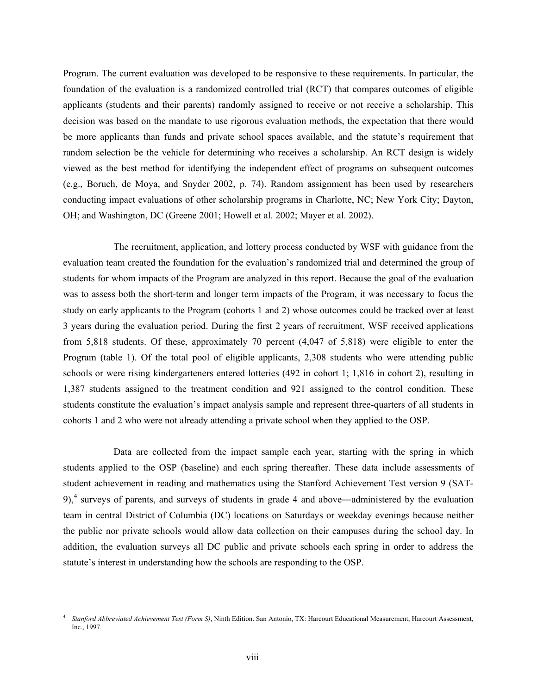Program. The current evaluation was developed to be responsive to these requirements. In particular, the foundation of the evaluation is a randomized controlled trial (RCT) that compares outcomes of eligible applicants (students and their parents) randomly assigned to receive or not receive a scholarship. This decision was based on the mandate to use rigorous evaluation methods, the expectation that there would be more applicants than funds and private school spaces available, and the statute's requirement that random selection be the vehicle for determining who receives a scholarship. An RCT design is widely viewed as the best method for identifying the independent effect of programs on subsequent outcomes (e.g., Boruch, de Moya, and Snyder 2002, p. 74). Random assignment has been used by researchers conducting impact evaluations of other scholarship programs in Charlotte, NC; New York City; Dayton, OH; and Washington, DC (Greene 2001; Howell et al. 2002; Mayer et al. 2002).

The recruitment, application, and lottery process conducted by WSF with guidance from the evaluation team created the foundation for the evaluation's randomized trial and determined the group of students for whom impacts of the Program are analyzed in this report. Because the goal of the evaluation was to assess both the short-term and longer term impacts of the Program, it was necessary to focus the study on early applicants to the Program (cohorts 1 and 2) whose outcomes could be tracked over at least 3 years during the evaluation period. During the first 2 years of recruitment, WSF received applications from 5,818 students. Of these, approximately 70 percent (4,047 of 5,818) were eligible to enter the Program (table 1). Of the total pool of eligible applicants, 2,308 students who were attending public schools or were rising kindergarteners entered lotteries (492 in cohort 1; 1,816 in cohort 2), resulting in 1,387 students assigned to the treatment condition and 921 assigned to the control condition. These students constitute the evaluation's impact analysis sample and represent three-quarters of all students in cohorts 1 and 2 who were not already attending a private school when they applied to the OSP.

Data are collected from the impact sample each year, starting with the spring in which students applied to the OSP (baseline) and each spring thereafter. These data include assessments of student achievement in reading and mathematics using the Stanford Achievement Test version 9 (SAT- $9$ ,<sup>[4](#page-8-0)</sup> surveys of parents, and surveys of students in grade 4 and above—administered by the evaluation team in central District of Columbia (DC) locations on Saturdays or weekday evenings because neither the public nor private schools would allow data collection on their campuses during the school day. In addition, the evaluation surveys all DC public and private schools each spring in order to address the statute's interest in understanding how the schools are responding to the OSP.

<span id="page-8-0"></span> $\overline{a}$ <sup>4</sup> *Stanford Abbreviated Achievement Test (Form S)*, Ninth Edition. San Antonio, TX: Harcourt Educational Measurement, Harcourt Assessment, Inc., 1997.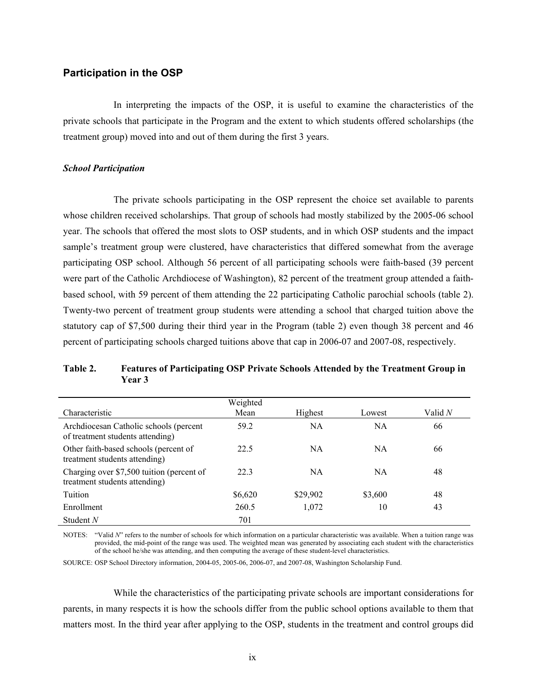#### **Participation in the OSP**

In interpreting the impacts of the OSP, it is useful to examine the characteristics of the private schools that participate in the Program and the extent to which students offered scholarships (the treatment group) moved into and out of them during the first 3 years.

#### *School Participation*

The private schools participating in the OSP represent the choice set available to parents whose children received scholarships. That group of schools had mostly stabilized by the 2005-06 school year. The schools that offered the most slots to OSP students, and in which OSP students and the impact sample's treatment group were clustered, have characteristics that differed somewhat from the average participating OSP school. Although 56 percent of all participating schools were faith-based (39 percent were part of the Catholic Archdiocese of Washington), 82 percent of the treatment group attended a faithbased school, with 59 percent of them attending the 22 participating Catholic parochial schools (table 2). Twenty-two percent of treatment group students were attending a school that charged tuition above the statutory cap of \$7,500 during their third year in the Program (table 2) even though 38 percent and 46 percent of participating schools charged tuitions above that cap in 2006-07 and 2007-08, respectively.

#### **Table 2. Features of Participating OSP Private Schools Attended by the Treatment Group in Year 3**

| Characteristic                                                             | Weighted<br>Mean | Highest   | Lowest    | Valid N |
|----------------------------------------------------------------------------|------------------|-----------|-----------|---------|
| Archdiocesan Catholic schools (percent<br>of treatment students attending) | 59.2             | <b>NA</b> | NA        | 66      |
| Other faith-based schools (percent of<br>treatment students attending)     | 22.5             | <b>NA</b> | <b>NA</b> | 66      |
| Charging over \$7,500 tuition (percent of<br>treatment students attending) | 22.3             | <b>NA</b> | <b>NA</b> | 48      |
| Tuition                                                                    | \$6,620          | \$29,902  | \$3,600   | 48      |
| Enrollment                                                                 | 260.5            | 1,072     | 10        | 43      |
| Student $N$                                                                | 701              |           |           |         |

NOTES: "Valid *N*" refers to the number of schools for which information on a particular characteristic was available. When a tuition range was provided, the mid-point of the range was used. The weighted mean was generated by associating each student with the characteristics of the school he/she was attending, and then computing the average of these student-level characteristics.

SOURCE: OSP School Directory information, 2004-05, 2005-06, 2006-07, and 2007-08, Washington Scholarship Fund.

While the characteristics of the participating private schools are important considerations for parents, in many respects it is how the schools differ from the public school options available to them that matters most. In the third year after applying to the OSP, students in the treatment and control groups did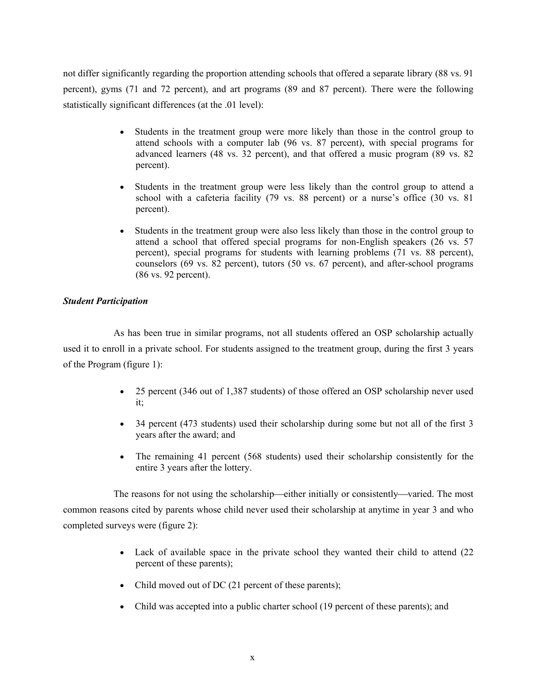not differ significantly regarding the proportion attending schools that offered a separate library (88 vs. 91 percent), gyms (71 and 72 percent), and art programs (89 and 87 percent). There were the following statistically significant differences (at the .01 level):

- Students in the treatment group were more likely than those in the control group to attend schools with a computer lab (96 vs. 87 percent), with special programs for advanced learners (48 vs. 32 percent), and that offered a music program (89 vs. 82 percent).
- Students in the treatment group were less likely than the control group to attend a school with a cafeteria facility (79 vs. 88 percent) or a nurse's office (30 vs. 81 percent).
- Students in the treatment group were also less likely than those in the control group to attend a school that offered special programs for non-English speakers (26 vs. 57 percent), special programs for students with learning problems (71 vs. 88 percent), counselors (69 vs. 82 percent), tutors (50 vs. 67 percent), and after-school programs (86 vs. 92 percent).

#### *Student Participation*

As has been true in similar programs, not all students offered an OSP scholarship actually used it to enroll in a private school. For students assigned to the treatment group, during the first 3 years of the Program (figure 1):

- 25 percent (346 out of 1,387 students) of those offered an OSP scholarship never used it;
- 34 percent (473 students) used their scholarship during some but not all of the first 3 years after the award; and
- The remaining 41 percent (568 students) used their scholarship consistently for the entire 3 years after the lottery.

The reasons for not using the scholarship—either initially or consistently—varied. The most common reasons cited by parents whose child never used their scholarship at anytime in year 3 and who completed surveys were (figure 2):

- Lack of available space in the private school they wanted their child to attend (22) percent of these parents);
- Child moved out of DC (21 percent of these parents);
- Child was accepted into a public charter school (19 percent of these parents); and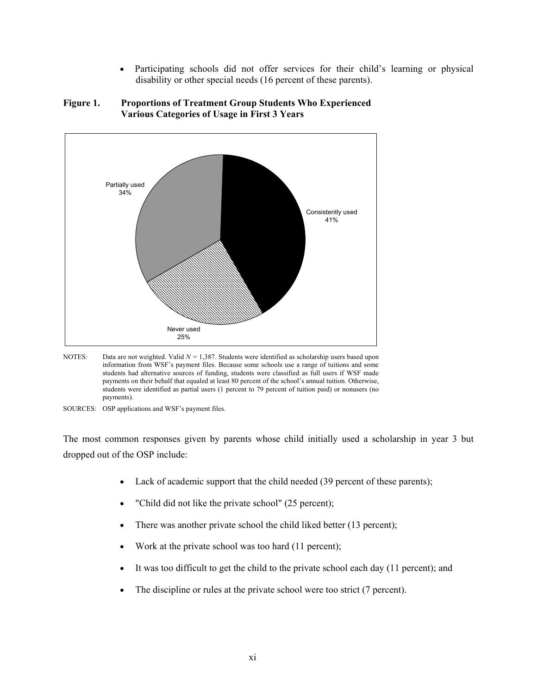• Participating schools did not offer services for their child's learning or physical disability or other special needs (16 percent of these parents).



**Figure 1. Proportions of Treatment Group Students Who Experienced Various Categories of Usage in First 3 Years**

NOTES: Data are not weighted. Valid  $N = 1,387$ . Students were identified as scholarship users based upon information from WSF's payment files. Because some schools use a range of tuitions and some students had alternative sources of funding, students were classified as full users if WSF made payments on their behalf that equaled at least 80 percent of the school's annual tuition. Otherwise, students were identified as partial users (1 percent to 79 percent of tuition paid) or nonusers (no payments).

The most common responses given by parents whose child initially used a scholarship in year 3 but dropped out of the OSP include:

- Lack of academic support that the child needed (39 percent of these parents);
- "Child did not like the private school" (25 percent);
- There was another private school the child liked better (13 percent);
- Work at the private school was too hard (11 percent);
- It was too difficult to get the child to the private school each day (11 percent); and
- The discipline or rules at the private school were too strict (7 percent).

SOURCES: OSP applications and WSF's payment files.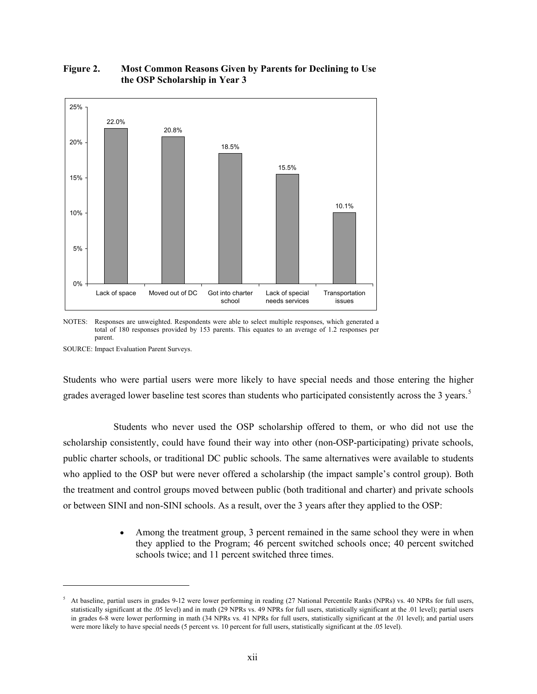

#### **Figure 2. Most Common Reasons Given by Parents for Declining to Use the OSP Scholarship in Year 3**

NOTES: Responses are unweighted. Respondents were able to select multiple responses, which generated a total of 180 responses provided by 153 parents. This equates to an average of 1.2 responses per parent.

SOURCE: Impact Evaluation Parent Surveys.

 $\overline{a}$ 

Students who were partial users were more likely to have special needs and those entering the higher grades averaged lower baseline test scores than students who participated consistently across the 3 years.<sup>[5](#page-12-0)</sup>

Students who never used the OSP scholarship offered to them, or who did not use the scholarship consistently, could have found their way into other (non-OSP-participating) private schools, public charter schools, or traditional DC public schools. The same alternatives were available to students who applied to the OSP but were never offered a scholarship (the impact sample's control group). Both the treatment and control groups moved between public (both traditional and charter) and private schools or between SINI and non-SINI schools. As a result, over the 3 years after they applied to the OSP:

> Among the treatment group, 3 percent remained in the same school they were in when they applied to the Program; 46 percent switched schools once; 40 percent switched schools twice; and 11 percent switched three times.

<span id="page-12-0"></span><sup>&</sup>lt;sup>5</sup> At baseline, partial users in grades 9-12 were lower performing in reading (27 National Percentile Ranks (NPRs) vs. 40 NPRs for full users, statistically significant at the .05 level) and in math (29 NPRs vs. 49 NPRs for full users, statistically significant at the .01 level); partial users in grades 6-8 were lower performing in math (34 NPRs vs. 41 NPRs for full users, statistically significant at the .01 level); and partial users were more likely to have special needs (5 percent vs. 10 percent for full users, statistically significant at the .05 level).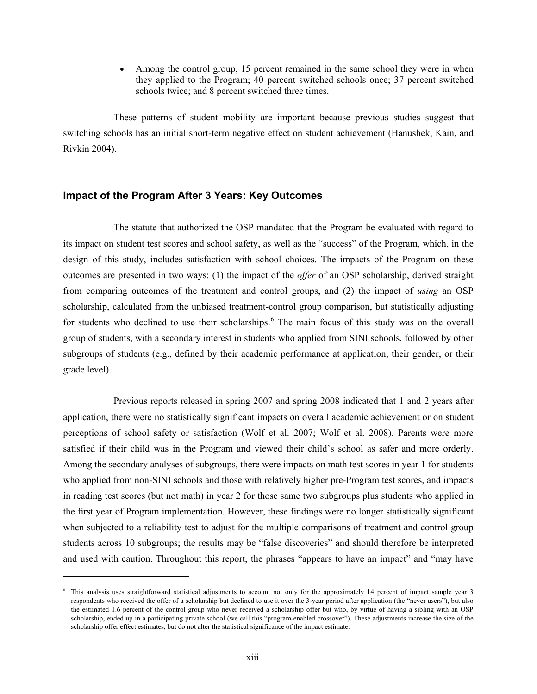Among the control group, 15 percent remained in the same school they were in when they applied to the Program; 40 percent switched schools once; 37 percent switched schools twice; and 8 percent switched three times.

These patterns of student mobility are important because previous studies suggest that switching schools has an initial short-term negative effect on student achievement (Hanushek, Kain, and Rivkin 2004).

#### **Impact of the Program After 3 Years: Key Outcomes**

The statute that authorized the OSP mandated that the Program be evaluated with regard to its impact on student test scores and school safety, as well as the "success" of the Program, which, in the design of this study, includes satisfaction with school choices. The impacts of the Program on these outcomes are presented in two ways: (1) the impact of the *offer* of an OSP scholarship, derived straight from comparing outcomes of the treatment and control groups, and (2) the impact of *using* an OSP scholarship, calculated from the unbiased treatment-control group comparison, but statistically adjusting for students who declined to use their scholarships.<sup>[6](#page-13-0)</sup> The main focus of this study was on the overall group of students, with a secondary interest in students who applied from SINI schools, followed by other subgroups of students (e.g., defined by their academic performance at application, their gender, or their grade level).

Previous reports released in spring 2007 and spring 2008 indicated that 1 and 2 years after application, there were no statistically significant impacts on overall academic achievement or on student perceptions of school safety or satisfaction (Wolf et al. 2007; Wolf et al. 2008). Parents were more satisfied if their child was in the Program and viewed their child's school as safer and more orderly. Among the secondary analyses of subgroups, there were impacts on math test scores in year 1 for students who applied from non-SINI schools and those with relatively higher pre-Program test scores, and impacts in reading test scores (but not math) in year 2 for those same two subgroups plus students who applied in the first year of Program implementation. However, these findings were no longer statistically significant when subjected to a reliability test to adjust for the multiple comparisons of treatment and control group students across 10 subgroups; the results may be "false discoveries" and should therefore be interpreted and used with caution. Throughout this report, the phrases "appears to have an impact" and "may have

<span id="page-13-0"></span><sup>6</sup> This analysis uses straightforward statistical adjustments to account not only for the approximately 14 percent of impact sample year 3 respondents who received the offer of a scholarship but declined to use it over the 3-year period after application (the "never users"), but also the estimated 1.6 percent of the control group who never received a scholarship offer but who, by virtue of having a sibling with an OSP scholarship, ended up in a participating private school (we call this "program-enabled crossover"). These adjustments increase the size of the scholarship offer effect estimates, but do not alter the statistical significance of the impact estimate.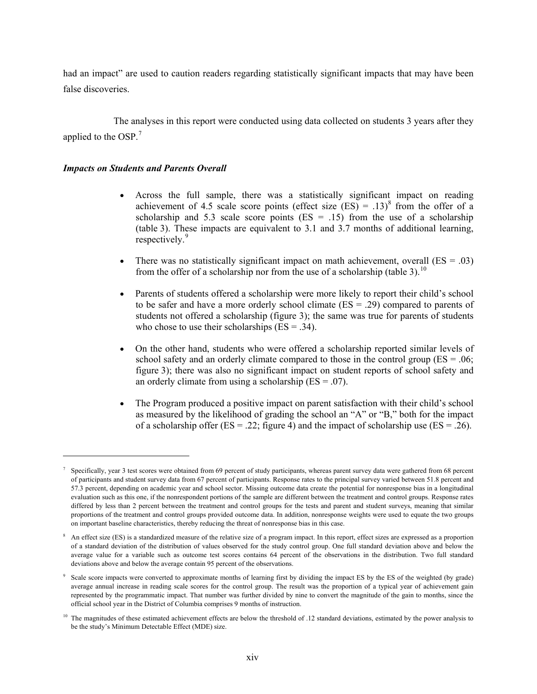had an impact" are used to caution readers regarding statistically significant impacts that may have been false discoveries.

The analyses in this report were conducted using data collected on students 3 years after they applied to the OSP.<sup>[7](#page-14-0)</sup>

#### *Impacts on Students and Parents Overall*

- Across the full sample, there was a statistically significant impact on reading achievement of 4.5 scale score points (effect size (ES) =  $.13$ <sup>[8](#page-14-1)</sup> from the offer of a scholarship and 5.3 scale score points  $(ES = .15)$  from the use of a scholarship (table 3). These impacts are equivalent to 3.1 and 3.7 months of additional learning, respectively.<sup>[9](#page-14-2)</sup>
- There was no statistically significant impact on math achievement, overall  $(ES = .03)$ from the offer of a scholarship nor from the use of a scholarship (table 3).<sup>[10](#page-14-3)</sup>
- Parents of students offered a scholarship were more likely to report their child's school to be safer and have a more orderly school climate (ES = .29) compared to parents of students not offered a scholarship (figure 3); the same was true for parents of students who chose to use their scholarships  $(ES = .34)$ .
- On the other hand, students who were offered a scholarship reported similar levels of school safety and an orderly climate compared to those in the control group ( $ES = .06$ ; figure 3); there was also no significant impact on student reports of school safety and an orderly climate from using a scholarship  $(ES = .07)$ .
- The Program produced a positive impact on parent satisfaction with their child's school as measured by the likelihood of grading the school an "A" or "B," both for the impact of a scholarship offer ( $ES = .22$ ; figure 4) and the impact of scholarship use ( $ES = .26$ ).

<span id="page-14-0"></span> $\frac{7}{1}$  Specifically, year 3 test scores were obtained from 69 percent of study participants, whereas parent survey data were gathered from 68 percent of participants and student survey data from 67 percent of participants. Response rates to the principal survey varied between 51.8 percent and 57.3 percent, depending on academic year and school sector. Missing outcome data create the potential for nonresponse bias in a longitudinal evaluation such as this one, if the nonrespondent portions of the sample are different between the treatment and control groups. Response rates differed by less than 2 percent between the treatment and control groups for the tests and parent and student surveys, meaning that similar proportions of the treatment and control groups provided outcome data. In addition, nonresponse weights were used to equate the two groups on important baseline characteristics, thereby reducing the threat of nonresponse bias in this case.

<span id="page-14-1"></span><sup>&</sup>lt;sup>8</sup> An effect size (ES) is a standardized measure of the relative size of a program impact. In this report, effect sizes are expressed as a proportion of a standard deviation of the distribution of values observed for the study control group. One full standard deviation above and below the average value for a variable such as outcome test scores contains 64 percent of the observations in the distribution. Two full standard deviations above and below the average contain 95 percent of the observations.

<span id="page-14-2"></span><sup>&</sup>lt;sup>9</sup> Scale score impacts were converted to approximate months of learning first by dividing the impact ES by the ES of the weighted (by grade) average annual increase in reading scale scores for the control group. The result was the proportion of a typical year of achievement gain represented by the programmatic impact. That number was further divided by nine to convert the magnitude of the gain to months, since the official school year in the District of Columbia comprises 9 months of instruction.

<span id="page-14-3"></span> $10$  The magnitudes of these estimated achievement effects are below the threshold of .12 standard deviations, estimated by the power analysis to be the study's Minimum Detectable Effect (MDE) size.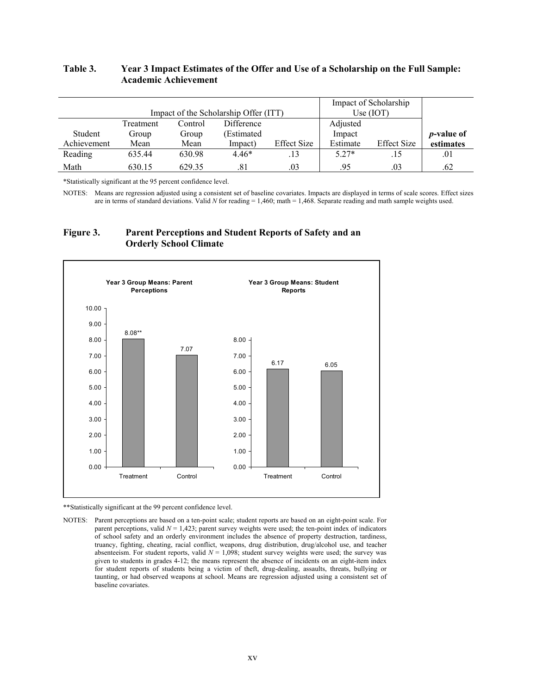#### **Table 3. Year 3 Impact Estimates of the Offer and Use of a Scholarship on the Full Sample: Academic Achievement**

|             |                                       |         |            | Impact of Scholarship |             |             |                    |
|-------------|---------------------------------------|---------|------------|-----------------------|-------------|-------------|--------------------|
|             | Impact of the Scholarship Offer (ITT) |         |            |                       | Use $(IOT)$ |             |                    |
|             | Treatment                             | Control | Difference |                       | Adjusted    |             |                    |
| Student     | Group                                 | Group   | (Estimated |                       | Impact      |             | <i>p</i> -value of |
| Achievement | Mean                                  | Mean    | Impact)    | <b>Effect Size</b>    | Estimate    | Effect Size | estimates          |
| Reading     | 635.44                                | 630.98  | $4.46*$    | .13                   | $5.27*$     | .15         | .01                |
| Math        | 630.15                                | 629.35  | .81        | .03                   | .95         | .03         | .62                |

\*Statistically significant at the 95 percent confidence level.

NOTES: Means are regression adjusted using a consistent set of baseline covariates. Impacts are displayed in terms of scale scores. Effect sizes are in terms of standard deviations. Valid *N* for reading = 1,460; math = 1,468. Separate reading and math sample weights used.

#### **Figure 3. Parent Perceptions and Student Reports of Safety and an Orderly School Climate**



\*\*Statistically significant at the 99 percent confidence level.

NOTES: Parent perceptions are based on a ten-point scale; student reports are based on an eight-point scale. For parent perceptions, valid  $N = 1,423$ ; parent survey weights were used; the ten-point index of indicators of school safety and an orderly environment includes the absence of property destruction, tardiness, truancy, fighting, cheating, racial conflict, weapons, drug distribution, drug/alcohol use, and teacher absenteeism. For student reports, valid  $N = 1,098$ ; student survey weights were used; the survey was given to students in grades 4-12; the means represent the absence of incidents on an eight-item index for student reports of students being a victim of theft, drug-dealing, assaults, threats, bullying or taunting, or had observed weapons at school. Means are regression adjusted using a consistent set of baseline covariates.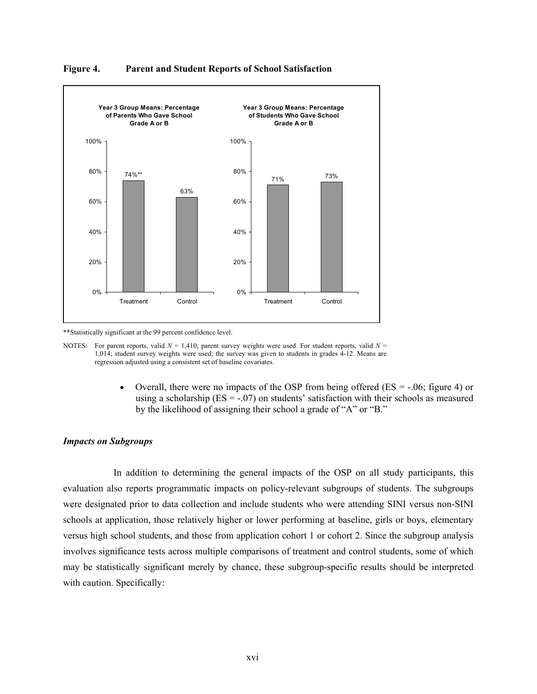

**Figure 4. Parent and Student Reports of School Satisfaction**

\*\*Statistically significant at the 99 percent confidence level.

NOTES: For parent reports, valid  $N = 1,410$ ; parent survey weights were used. For student reports, valid  $N = 1,410$ ; 1,014; student survey weights were used; the survey was given to students in grades 4-12. Means are regression adjusted using a consistent set of baseline covariates.

> • Overall, there were no impacts of the OSP from being offered ( $ES = -0.06$ ; figure 4) or using a scholarship ( $ES = -.07$ ) on students' satisfaction with their schools as measured by the likelihood of assigning their school a grade of "A" or "B."

#### *Impacts on Subgroups*

In addition to determining the general impacts of the OSP on all study participants, this evaluation also reports programmatic impacts on policy-relevant subgroups of students. The subgroups were designated prior to data collection and include students who were attending SINI versus non-SINI schools at application, those relatively higher or lower performing at baseline, girls or boys, elementary versus high school students, and those from application cohort 1 or cohort 2. Since the subgroup analysis involves significance tests across multiple comparisons of treatment and control students, some of which may be statistically significant merely by chance, these subgroup-specific results should be interpreted with caution. Specifically: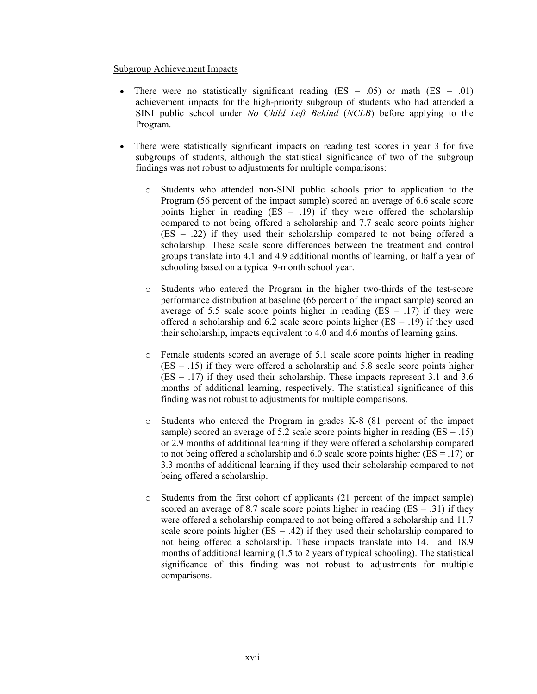#### Subgroup Achievement Impacts

- There were no statistically significant reading (ES = .05) or math (ES = .01) achievement impacts for the high-priority subgroup of students who had attended a SINI public school under *No Child Left Behind* (*NCLB*) before applying to the Program.
- There were statistically significant impacts on reading test scores in year 3 for five subgroups of students, although the statistical significance of two of the subgroup findings was not robust to adjustments for multiple comparisons:
	- o Students who attended non-SINI public schools prior to application to the Program (56 percent of the impact sample) scored an average of 6.6 scale score points higher in reading  $(ES = .19)$  if they were offered the scholarship compared to not being offered a scholarship and 7.7 scale score points higher  $(ES = .22)$  if they used their scholarship compared to not being offered a scholarship. These scale score differences between the treatment and control groups translate into 4.1 and 4.9 additional months of learning, or half a year of schooling based on a typical 9-month school year.
	- Students who entered the Program in the higher two-thirds of the test-score performance distribution at baseline (66 percent of the impact sample) scored an average of 5.5 scale score points higher in reading  $(ES = .17)$  if they were offered a scholarship and 6.2 scale score points higher ( $ES = .19$ ) if they used their scholarship, impacts equivalent to 4.0 and 4.6 months of learning gains.
	- o Female students scored an average of 5.1 scale score points higher in reading  $(ES = .15)$  if they were offered a scholarship and 5.8 scale score points higher  $(ES = .17)$  if they used their scholarship. These impacts represent 3.1 and 3.6 months of additional learning, respectively. The statistical significance of this finding was not robust to adjustments for multiple comparisons.
	- o Students who entered the Program in grades K-8 (81 percent of the impact sample) scored an average of 5.2 scale score points higher in reading  $(ES = .15)$ or 2.9 months of additional learning if they were offered a scholarship compared to not being offered a scholarship and 6.0 scale score points higher ( $ES = .17$ ) or 3.3 months of additional learning if they used their scholarship compared to not being offered a scholarship.
	- o Students from the first cohort of applicants (21 percent of the impact sample) scored an average of 8.7 scale score points higher in reading  $(ES = .31)$  if they were offered a scholarship compared to not being offered a scholarship and 11.7 scale score points higher ( $ES = .42$ ) if they used their scholarship compared to not being offered a scholarship. These impacts translate into 14.1 and 18.9 months of additional learning (1.5 to 2 years of typical schooling). The statistical significance of this finding was not robust to adjustments for multiple comparisons.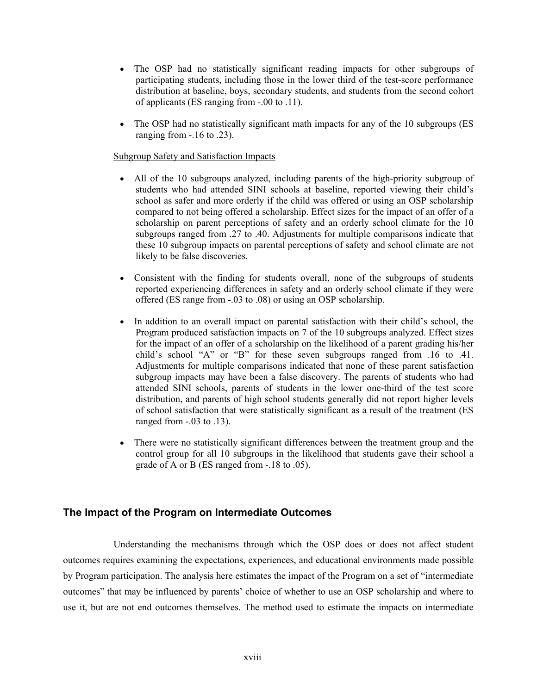- The OSP had no statistically significant reading impacts for other subgroups of participating students, including those in the lower third of the test-score performance distribution at baseline, boys, secondary students, and students from the second cohort of applicants (ES ranging from -.00 to .11).
- The OSP had no statistically significant math impacts for any of the 10 subgroups (ES ranging from  $-0.16$  to  $0.23$ ).

#### Subgroup Safety and Satisfaction Impacts

- All of the 10 subgroups analyzed, including parents of the high-priority subgroup of students who had attended SINI schools at baseline, reported viewing their child's school as safer and more orderly if the child was offered or using an OSP scholarship compared to not being offered a scholarship. Effect sizes for the impact of an offer of a scholarship on parent perceptions of safety and an orderly school climate for the 10 subgroups ranged from .27 to .40. Adjustments for multiple comparisons indicate that these 10 subgroup impacts on parental perceptions of safety and school climate are not likely to be false discoveries.
- Consistent with the finding for students overall, none of the subgroups of students reported experiencing differences in safety and an orderly school climate if they were offered (ES range from -.03 to .08) or using an OSP scholarship.
- In addition to an overall impact on parental satisfaction with their child's school, the Program produced satisfaction impacts on 7 of the 10 subgroups analyzed. Effect sizes for the impact of an offer of a scholarship on the likelihood of a parent grading his/her child's school "A" or "B" for these seven subgroups ranged from .16 to .41. Adjustments for multiple comparisons indicated that none of these parent satisfaction subgroup impacts may have been a false discovery. The parents of students who had attended SINI schools, parents of students in the lower one-third of the test score distribution, and parents of high school students generally did not report higher levels of school satisfaction that were statistically significant as a result of the treatment (ES ranged from  $-.03$  to  $.13$ ).
- There were no statistically significant differences between the treatment group and the control group for all 10 subgroups in the likelihood that students gave their school a grade of A or B (ES ranged from -.18 to .05).

#### **The Impact of the Program on Intermediate Outcomes**

Understanding the mechanisms through which the OSP does or does not affect student outcomes requires examining the expectations, experiences, and educational environments made possible by Program participation. The analysis here estimates the impact of the Program on a set of "intermediate outcomes" that may be influenced by parents' choice of whether to use an OSP scholarship and where to use it, but are not end outcomes themselves. The method used to estimate the impacts on intermediate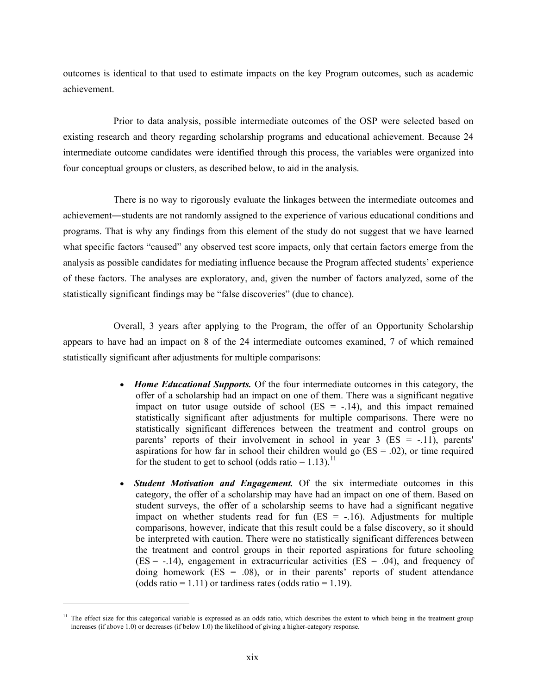outcomes is identical to that used to estimate impacts on the key Program outcomes, such as academic achievement.

Prior to data analysis, possible intermediate outcomes of the OSP were selected based on existing research and theory regarding scholarship programs and educational achievement. Because 24 intermediate outcome candidates were identified through this process, the variables were organized into four conceptual groups or clusters, as described below, to aid in the analysis.

There is no way to rigorously evaluate the linkages between the intermediate outcomes and achievement―students are not randomly assigned to the experience of various educational conditions and programs. That is why any findings from this element of the study do not suggest that we have learned what specific factors "caused" any observed test score impacts, only that certain factors emerge from the analysis as possible candidates for mediating influence because the Program affected students' experience of these factors. The analyses are exploratory, and, given the number of factors analyzed, some of the statistically significant findings may be "false discoveries" (due to chance).

Overall, 3 years after applying to the Program, the offer of an Opportunity Scholarship appears to have had an impact on 8 of the 24 intermediate outcomes examined, 7 of which remained statistically significant after adjustments for multiple comparisons:

- *Home Educational Supports.* Of the four intermediate outcomes in this category, the offer of a scholarship had an impact on one of them. There was a significant negative impact on tutor usage outside of school  $(ES = -.14)$ , and this impact remained statistically significant after adjustments for multiple comparisons. There were no statistically significant differences between the treatment and control groups on parents' reports of their involvement in school in year  $3$  (ES = -.11), parents' aspirations for how far in school their children would go  $(ES = .02)$ , or time required for the student to get to school (odds ratio =  $1.13$ ).<sup>[11](#page-19-0)</sup>
- *Student Motivation and Engagement.* Of the six intermediate outcomes in this category, the offer of a scholarship may have had an impact on one of them. Based on student surveys, the offer of a scholarship seems to have had a significant negative impact on whether students read for fun  $(ES = -.16)$ . Adjustments for multiple comparisons, however, indicate that this result could be a false discovery, so it should be interpreted with caution. There were no statistically significant differences between the treatment and control groups in their reported aspirations for future schooling  $(ES = -0.14)$ , engagement in extracurricular activities  $(ES = 0.04)$ , and frequency of doing homework  $(ES = .08)$ , or in their parents' reports of student attendance (odds ratio =  $1.11$ ) or tardiness rates (odds ratio =  $1.19$ ).

<span id="page-19-0"></span><sup>&</sup>lt;sup>11</sup> The effect size for this categorical variable is expressed as an odds ratio, which describes the extent to which being in the treatment group increases (if above 1.0) or decreases (if below 1.0) the likelihood of giving a higher-category response.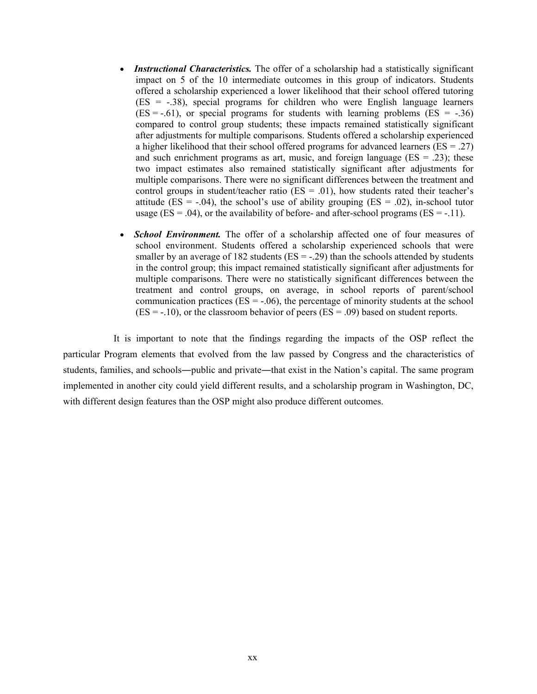- *Instructional Characteristics*. The offer of a scholarship had a statistically significant impact on 5 of the 10 intermediate outcomes in this group of indicators. Students offered a scholarship experienced a lower likelihood that their school offered tutoring  $(ES = -0.38)$ , special programs for children who were English language learners  $(ES = -.61)$ , or special programs for students with learning problems  $(ES = -.36)$ compared to control group students; these impacts remained statistically significant after adjustments for multiple comparisons. Students offered a scholarship experienced a higher likelihood that their school offered programs for advanced learners ( $ES = .27$ ) and such enrichment programs as art, music, and foreign language ( $ES = .23$ ); these two impact estimates also remained statistically significant after adjustments for multiple comparisons. There were no significant differences between the treatment and control groups in student/teacher ratio ( $ES = .01$ ), how students rated their teacher's attitude (ES =  $-.04$ ), the school's use of ability grouping (ES =  $.02$ ), in-school tutor usage (ES = .04), or the availability of before- and after-school programs (ES = -.11).
- *School Environment.* The offer of a scholarship affected one of four measures of school environment. Students offered a scholarship experienced schools that were smaller by an average of 182 students ( $ES = -0.29$ ) than the schools attended by students in the control group; this impact remained statistically significant after adjustments for multiple comparisons. There were no statistically significant differences between the treatment and control groups, on average, in school reports of parent/school communication practices ( $ES = -0.06$ ), the percentage of minority students at the school  $(ES = -.10)$ , or the classroom behavior of peers  $(ES = .09)$  based on student reports.

It is important to note that the findings regarding the impacts of the OSP reflect the particular Program elements that evolved from the law passed by Congress and the characteristics of students, families, and schools—public and private—that exist in the Nation's capital. The same program implemented in another city could yield different results, and a scholarship program in Washington, DC, with different design features than the OSP might also produce different outcomes.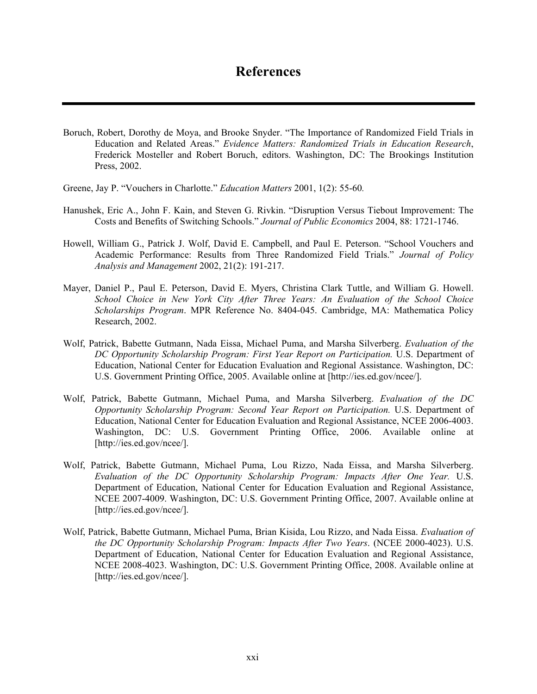### **References**

- Boruch, Robert, Dorothy de Moya, and Brooke Snyder. "The Importance of Randomized Field Trials in Education and Related Areas." *Evidence Matters: Randomized Trials in Education Research*, Frederick Mosteller and Robert Boruch, editors. Washington, DC: The Brookings Institution Press, 2002.
- Greene, Jay P. "Vouchers in Charlotte." *Education Matters* 2001, 1(2): 55-60*.*
- Hanushek, Eric A., John F. Kain, and Steven G. Rivkin. "Disruption Versus Tiebout Improvement: The Costs and Benefits of Switching Schools." *Journal of Public Economics* 2004, 88: 1721-1746.
- Howell, William G., Patrick J. Wolf, David E. Campbell, and Paul E. Peterson. "School Vouchers and Academic Performance: Results from Three Randomized Field Trials." *Journal of Policy Analysis and Management* 2002, 21(2): 191-217.
- Mayer, Daniel P., Paul E. Peterson, David E. Myers, Christina Clark Tuttle, and William G. Howell. *School Choice in New York City After Three Years: An Evaluation of the School Choice Scholarships Program*. MPR Reference No. 8404-045. Cambridge, MA: Mathematica Policy Research, 2002.
- Wolf, Patrick, Babette Gutmann, Nada Eissa, Michael Puma, and Marsha Silverberg. *Evaluation of the DC Opportunity Scholarship Program: First Year Report on Participation.* U.S. Department of Education, National Center for Education Evaluation and Regional Assistance. Washington, DC: U.S. Government Printing Office, 2005. Available online at [\[http://ies.ed.gov/ncee/\].](http://ies.ed.gov/ncee)
- Wolf, Patrick, Babette Gutmann, Michael Puma, and Marsha Silverberg. *Evaluation of the DC Opportunity Scholarship Program: Second Year Report on Participation.* U.S. Department of Education, National Center for Education Evaluation and Regional Assistance, NCEE 2006-4003. Washington, DC: U.S. Government Printing Office, 2006. Available online at [\[http://ies.ed.gov/ncee/\].](http://ies.ed.gov/ncee)
- Wolf, Patrick, Babette Gutmann, Michael Puma, Lou Rizzo, Nada Eissa, and Marsha Silverberg. *Evaluation of the DC Opportunity Scholarship Program: Impacts After One Year.* U.S. Department of Education, National Center for Education Evaluation and Regional Assistance, NCEE 2007-4009. Washington, DC: U.S. Government Printing Office, 2007. Available online at [\[http://ies.ed.gov/ncee/\]](http://ies.ed.gov/ncee).
- Wolf, Patrick, Babette Gutmann, Michael Puma, Brian Kisida, Lou Rizzo, and Nada Eissa. *Evaluation of the DC Opportunity Scholarship Program: Impacts After Two Years*. (NCEE 2000-4023). U.S. Department of Education, National Center for Education Evaluation and Regional Assistance, NCEE 2008-4023. Washington, DC: U.S. Government Printing Office, 2008. Available online at [\[http://ies.ed.gov/ncee/\]](http://ies.ed.gov/ncee).